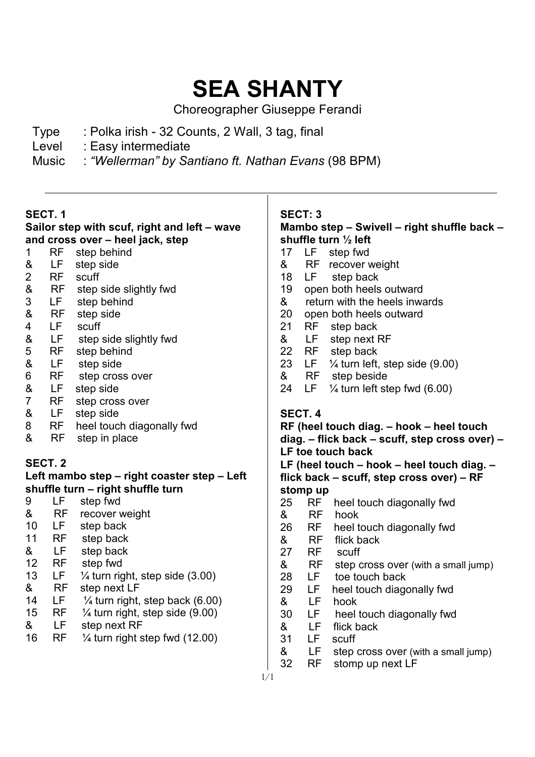# **SEA SHANTY**

Choreographer Giuseppe Ferandi

- Type : Polka irish 32 Counts, 2 Wall, 3 tag, final
- Level : Easy intermediate
- Music : *"Wellerman" by Santiano ft. Nathan Evans* (98 BPM)

### **SECT. 1**

### **Sailor step with scuf, right and left – wave and cross over – heel jack, step**

- 1 RF step behind<br>& LF step side
- LF step side
- 2 RF scuff
- & RF step side slightly fwd<br>3 LF step behind
- LF step behind
- & RF step side
- 4 LF scuff
- & LF step side slightly fwd<br>5 RF step behind
- 5 RF step behind<br>& LF step side
- LF step side
- 6 RF step cross over<br>& LF step side
- & LF step side<br>7 RF step cros
- RF step cross over
- & LF step side
- 8 RF heel touch diagonally fwd
- & RF step in place

## **SECT. 2**

### **Left mambo step – right coaster step – Left shuffle turn – right shuffle turn**

| 9  | LF | step fwd                                   |
|----|----|--------------------------------------------|
| &  | RF | recover weight                             |
| 10 | LF | step back                                  |
| 11 | RF | step back                                  |
| &  | LF | step back                                  |
| 12 | RF | step fwd                                   |
| 13 | LF | $\frac{1}{4}$ turn right, step side (3.00) |
| &  | RF | step next LF                               |
| 14 | LF | $\frac{1}{4}$ turn right, step back (6.00) |
| 15 | RF | $\frac{1}{4}$ turn right, step side (9.00) |
| &  | LF | step next RF                               |
| 16 | RF | $\frac{1}{4}$ turn right step fwd (12.00)  |
|    |    |                                            |

### **SECT: 3**

#### **Mambo step – Swivell – right shuffle back – shuffle turn ½ left**  17 LF step fwd

- & RF recover weight 18 LF step back 19 open both heels outward & return with the heels inwards 20 open both heels outward 21 RF step back & LF step next RF 22 RF step back<br>23 LF  $\frac{1}{4}$  turn left 23 LF ¼ turn left, step side (9.00) & RF step beside<br>24 LF  $\frac{1}{4}$  turn left step 24 LF  $\frac{1}{4}$  turn left step fwd (6.00) **SECT. 4 RF (heel touch diag. – hook – heel touch diag. – flick back – scuff, step cross over) – LF toe touch back LF (heel touch – hook – heel touch diag. – flick back – scuff, step cross over) – RF stomp up**  25 RF heel touch diagonally fwd & RF hook 26 RF heel touch diagonally fwd<br>& RF flick back & RF flick back 27 RF scuff & RF step cross over (with a small jump) 28 LF toe touch back 29 LF heel touch diagonally fwd & LF hook 30 LF heel touch diagonally fwd
- & LF flick back
- 31 LF scuff
- & LF step cross over (with a small jump)
- 32 RF stomp up next LF